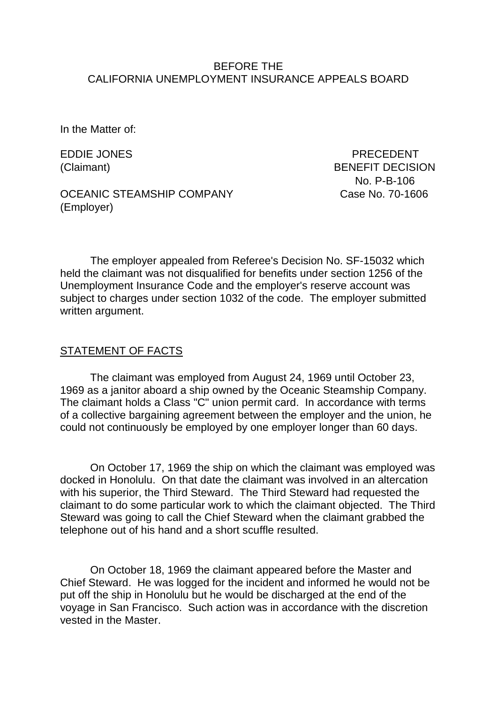#### BEFORE THE CALIFORNIA UNEMPLOYMENT INSURANCE APPEALS BOARD

In the Matter of:

EDDIE JONES PRECEDENT

(Claimant) BENEFIT DECISION No. P-B-106

OCEANIC STEAMSHIP COMPANY CASE No. 70-1606 (Employer)

The employer appealed from Referee's Decision No. SF-15032 which held the claimant was not disqualified for benefits under section 1256 of the Unemployment Insurance Code and the employer's reserve account was subject to charges under section 1032 of the code. The employer submitted written argument.

#### STATEMENT OF FACTS

The claimant was employed from August 24, 1969 until October 23, 1969 as a janitor aboard a ship owned by the Oceanic Steamship Company. The claimant holds a Class "C" union permit card. In accordance with terms of a collective bargaining agreement between the employer and the union, he could not continuously be employed by one employer longer than 60 days.

On October 17, 1969 the ship on which the claimant was employed was docked in Honolulu. On that date the claimant was involved in an altercation with his superior, the Third Steward. The Third Steward had requested the claimant to do some particular work to which the claimant objected. The Third Steward was going to call the Chief Steward when the claimant grabbed the telephone out of his hand and a short scuffle resulted.

On October 18, 1969 the claimant appeared before the Master and Chief Steward. He was logged for the incident and informed he would not be put off the ship in Honolulu but he would be discharged at the end of the voyage in San Francisco. Such action was in accordance with the discretion vested in the Master.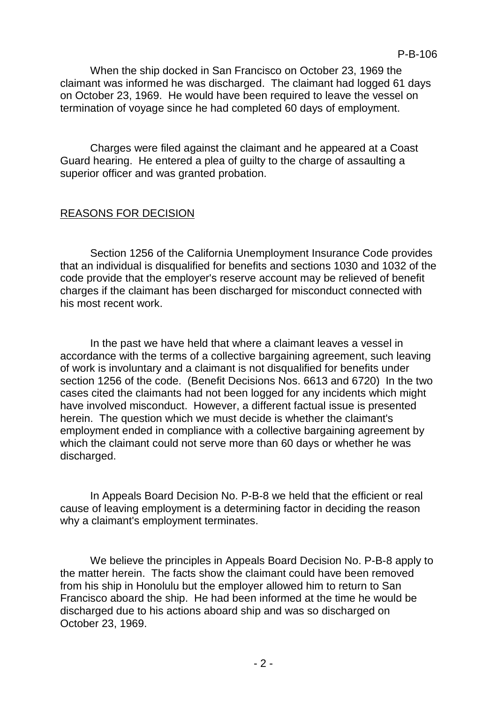When the ship docked in San Francisco on October 23, 1969 the claimant was informed he was discharged. The claimant had logged 61 days on October 23, 1969. He would have been required to leave the vessel on termination of voyage since he had completed 60 days of employment.

Charges were filed against the claimant and he appeared at a Coast Guard hearing. He entered a plea of guilty to the charge of assaulting a superior officer and was granted probation.

# REASONS FOR DECISION

Section 1256 of the California Unemployment Insurance Code provides that an individual is disqualified for benefits and sections 1030 and 1032 of the code provide that the employer's reserve account may be relieved of benefit charges if the claimant has been discharged for misconduct connected with his most recent work.

In the past we have held that where a claimant leaves a vessel in accordance with the terms of a collective bargaining agreement, such leaving of work is involuntary and a claimant is not disqualified for benefits under section 1256 of the code. (Benefit Decisions Nos. 6613 and 6720) In the two cases cited the claimants had not been logged for any incidents which might have involved misconduct. However, a different factual issue is presented herein. The question which we must decide is whether the claimant's employment ended in compliance with a collective bargaining agreement by which the claimant could not serve more than 60 days or whether he was discharged.

In Appeals Board Decision No. P-B-8 we held that the efficient or real cause of leaving employment is a determining factor in deciding the reason why a claimant's employment terminates.

We believe the principles in Appeals Board Decision No. P-B-8 apply to the matter herein. The facts show the claimant could have been removed from his ship in Honolulu but the employer allowed him to return to San Francisco aboard the ship. He had been informed at the time he would be discharged due to his actions aboard ship and was so discharged on October 23, 1969.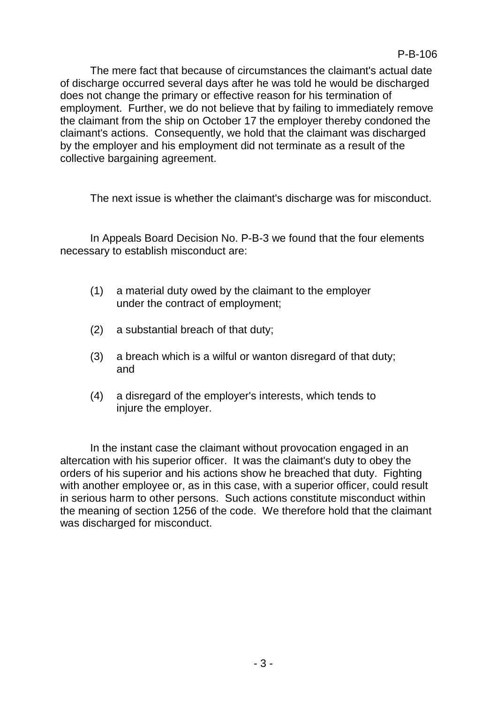The mere fact that because of circumstances the claimant's actual date of discharge occurred several days after he was told he would be discharged does not change the primary or effective reason for his termination of employment. Further, we do not believe that by failing to immediately remove the claimant from the ship on October 17 the employer thereby condoned the claimant's actions. Consequently, we hold that the claimant was discharged by the employer and his employment did not terminate as a result of the collective bargaining agreement.

The next issue is whether the claimant's discharge was for misconduct.

In Appeals Board Decision No. P-B-3 we found that the four elements necessary to establish misconduct are:

- (1) a material duty owed by the claimant to the employer under the contract of employment;
- (2) a substantial breach of that duty;
- (3) a breach which is a wilful or wanton disregard of that duty; and
- (4) a disregard of the employer's interests, which tends to injure the employer.

In the instant case the claimant without provocation engaged in an altercation with his superior officer. It was the claimant's duty to obey the orders of his superior and his actions show he breached that duty. Fighting with another employee or, as in this case, with a superior officer, could result in serious harm to other persons. Such actions constitute misconduct within the meaning of section 1256 of the code. We therefore hold that the claimant was discharged for misconduct.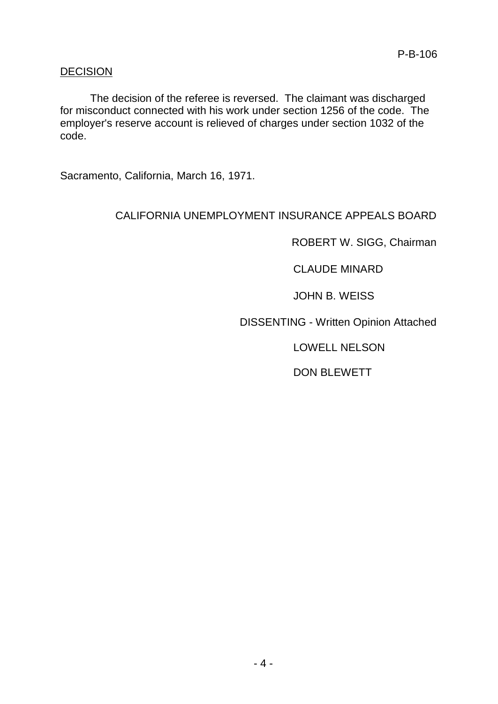# DECISION

The decision of the referee is reversed. The claimant was discharged for misconduct connected with his work under section 1256 of the code. The employer's reserve account is relieved of charges under section 1032 of the code.

Sacramento, California, March 16, 1971.

# CALIFORNIA UNEMPLOYMENT INSURANCE APPEALS BOARD

ROBERT W. SIGG, Chairman

CLAUDE MINARD

JOHN B. WEISS

DISSENTING - Written Opinion Attached

LOWELL NELSON

DON BLEWETT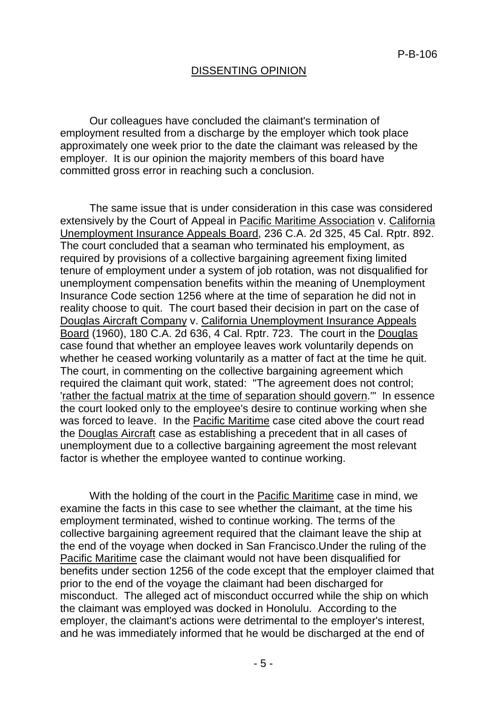#### DISSENTING OPINION

Our colleagues have concluded the claimant's termination of employment resulted from a discharge by the employer which took place approximately one week prior to the date the claimant was released by the employer. It is our opinion the majority members of this board have committed gross error in reaching such a conclusion.

The same issue that is under consideration in this case was considered extensively by the Court of Appeal in Pacific Maritime Association v. California Unemployment Insurance Appeals Board, 236 C.A. 2d 325, 45 Cal. Rptr. 892. The court concluded that a seaman who terminated his employment, as required by provisions of a collective bargaining agreement fixing limited tenure of employment under a system of job rotation, was not disqualified for unemployment compensation benefits within the meaning of Unemployment Insurance Code section 1256 where at the time of separation he did not in reality choose to quit. The court based their decision in part on the case of Douglas Aircraft Company v. California Unemployment Insurance Appeals Board (1960), 180 C.A. 2d 636, 4 Cal. Rptr. 723. The court in the Douglas case found that whether an employee leaves work voluntarily depends on whether he ceased working voluntarily as a matter of fact at the time he quit. The court, in commenting on the collective bargaining agreement which required the claimant quit work, stated: "The agreement does not control; 'rather the factual matrix at the time of separation should govern.'" In essence the court looked only to the employee's desire to continue working when she was forced to leave. In the Pacific Maritime case cited above the court read the Douglas Aircraft case as establishing a precedent that in all cases of unemployment due to a collective bargaining agreement the most relevant factor is whether the employee wanted to continue working.

With the holding of the court in the Pacific Maritime case in mind, we examine the facts in this case to see whether the claimant, at the time his employment terminated, wished to continue working. The terms of the collective bargaining agreement required that the claimant leave the ship at the end of the voyage when docked in San Francisco.Under the ruling of the Pacific Maritime case the claimant would not have been disqualified for benefits under section 1256 of the code except that the employer claimed that prior to the end of the voyage the claimant had been discharged for misconduct. The alleged act of misconduct occurred while the ship on which the claimant was employed was docked in Honolulu. According to the employer, the claimant's actions were detrimental to the employer's interest, and he was immediately informed that he would be discharged at the end of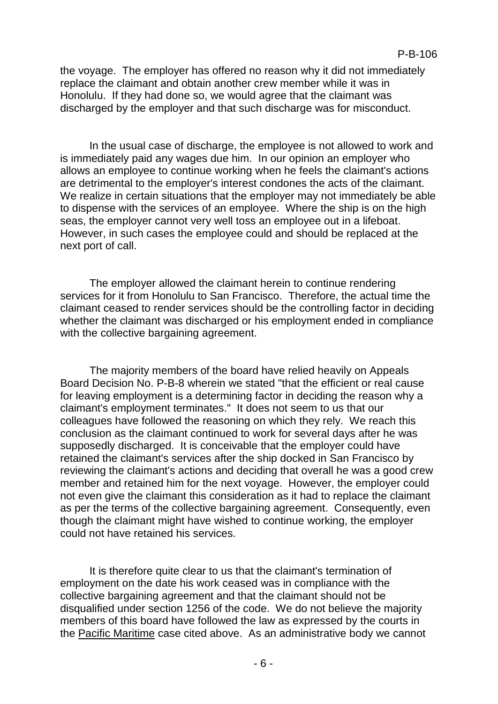the voyage. The employer has offered no reason why it did not immediately replace the claimant and obtain another crew member while it was in Honolulu. If they had done so, we would agree that the claimant was discharged by the employer and that such discharge was for misconduct.

In the usual case of discharge, the employee is not allowed to work and is immediately paid any wages due him. In our opinion an employer who allows an employee to continue working when he feels the claimant's actions are detrimental to the employer's interest condones the acts of the claimant. We realize in certain situations that the employer may not immediately be able to dispense with the services of an employee. Where the ship is on the high seas, the employer cannot very well toss an employee out in a lifeboat. However, in such cases the employee could and should be replaced at the next port of call.

The employer allowed the claimant herein to continue rendering services for it from Honolulu to San Francisco. Therefore, the actual time the claimant ceased to render services should be the controlling factor in deciding whether the claimant was discharged or his employment ended in compliance with the collective bargaining agreement.

The majority members of the board have relied heavily on Appeals Board Decision No. P-B-8 wherein we stated "that the efficient or real cause for leaving employment is a determining factor in deciding the reason why a claimant's employment terminates." It does not seem to us that our colleagues have followed the reasoning on which they rely. We reach this conclusion as the claimant continued to work for several days after he was supposedly discharged. It is conceivable that the employer could have retained the claimant's services after the ship docked in San Francisco by reviewing the claimant's actions and deciding that overall he was a good crew member and retained him for the next voyage. However, the employer could not even give the claimant this consideration as it had to replace the claimant as per the terms of the collective bargaining agreement. Consequently, even though the claimant might have wished to continue working, the employer could not have retained his services.

It is therefore quite clear to us that the claimant's termination of employment on the date his work ceased was in compliance with the collective bargaining agreement and that the claimant should not be disqualified under section 1256 of the code. We do not believe the majority members of this board have followed the law as expressed by the courts in the Pacific Maritime case cited above. As an administrative body we cannot